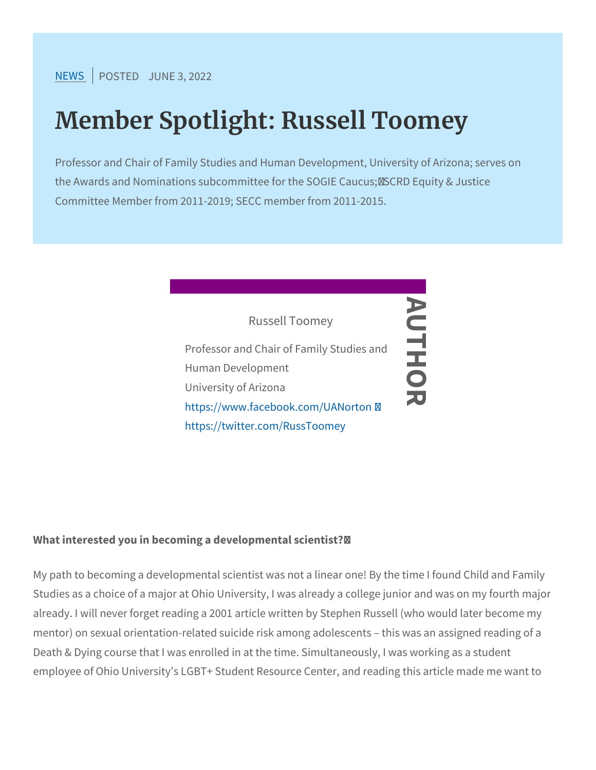$NEW$ SPOSTEJDUNE 3, 2022

## Member Spotlight: Russell Toom

Professor and Chair of Family Studies and Human Development, the Awards and Nominations subcommittee for the SOGIE Caucus Committee Member from 2011-2019; SECC member from 2011-2015.



What interested you in becoming a developmental scientist? /

My path to becoming a developmental scientist was not a linear one Studies as a choice of a major at Ohio University, I was already a already. I will never forget reading a 2001 article written by Stephe mentor) on sexual orientation-related suicide risk among adolescen Death & Dying course that I was enrolled in at the time. Simultaned employee of Ohio University s LGBT+ Student Resource Center, and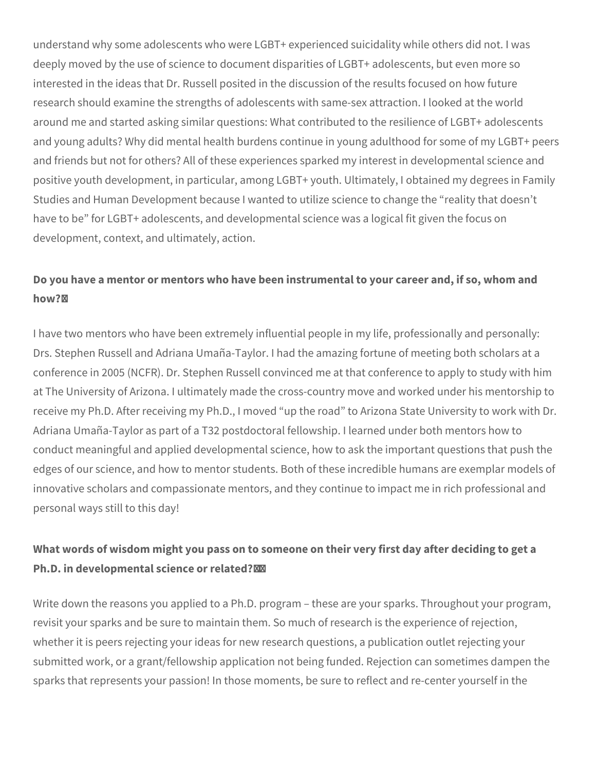understand why some adolescents who were LGBT+ experienced suicidality while others did not. I was deeply moved by the use of science to document disparities of LGBT+ adolescents, but even more so interested in the ideas that Dr. Russell posited in the discussion of the results focused on how future research should examine the strengths of adolescents with same-sex attraction. I looked at the world around me and started asking similar questions: What contributed to the resilience of LGBT+ adolescents and young adults? Why did mental health burdens continue in young adulthood for some of my LGBT+ peers and friends but not for others? All of these experiences sparked my interest in developmental science and positive youth development, in particular, among LGBT+ youth. Ultimately, I obtained my degrees in Family Studies and Human Development because I wanted to utilize science to change the "reality that doesn't have to be" for LGBT+ adolescents, and developmental science was a logical fit given the focus on development, context, and ultimately, action.

## **Do you have a mentor or mentors who have been instrumental to your career and, if so, whom and how?**

I have two mentors who have been extremely influential people in my life, professionally and personally: Drs. Stephen Russell and Adriana Umaña-Taylor. I had the amazing fortune of meeting both scholars at a conference in 2005 (NCFR). Dr. Stephen Russell convinced me at that conference to apply to study with him at The University of Arizona. I ultimately made the cross-country move and worked under his mentorship to receive my Ph.D. After receiving my Ph.D., I moved "up the road" to Arizona State University to work with Dr. Adriana Umaña-Taylor as part of a T32 postdoctoral fellowship. I learned under both mentors how to conduct meaningful and applied developmental science, how to ask the important questions that push the edges of our science, and how to mentor students. Both of these incredible humans are exemplar models of innovative scholars and compassionate mentors, and they continue to impact me in rich professional and personal ways still to this day!

## **What words of wisdom might you pass on to someone on their very first day after deciding to get a Ph.D. in developmental science or related?**

Write down the reasons you applied to a Ph.D. program – these are your sparks. Throughout your program, revisit your sparks and be sure to maintain them. So much of research is the experience of rejection, whether it is peers rejecting your ideas for new research questions, a publication outlet rejecting your submitted work, or a grant/fellowship application not being funded. Rejection can sometimes dampen the sparks that represents your passion! In those moments, be sure to reflect and re-center yourself in the